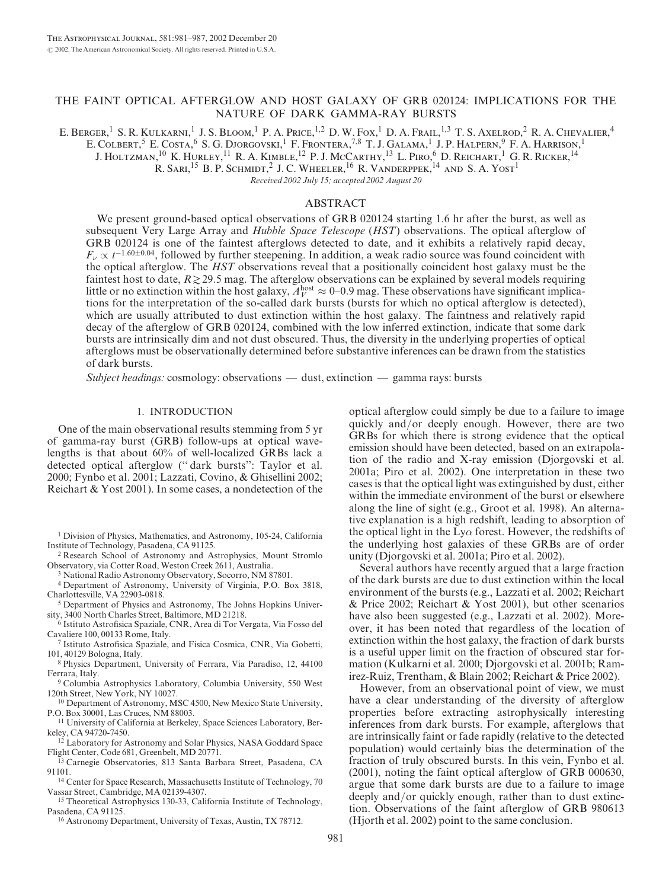# THE FAINT OPTICAL AFTERGLOW AND HOST GALAXY OF GRB 020124: IMPLICATIONS FOR THE NATURE OF DARK GAMMA-RAY BURSTS

E. Berger,<sup>1</sup> S. R. Kulkarni,<sup>1</sup> J. S. Bloom,<sup>1</sup> P. A. Price,<sup>1,2</sup> D. W. Fox,<sup>1</sup> D. A. Frail,<sup>1,3</sup> T. S. Axelrod,<sup>2</sup> R. A. Chevalier,<sup>4</sup> E. COLBERT, <sup>5</sup> E. COSTA, <sup>6</sup> S. G. Djorgovski, <sup>1</sup> F. Frontera, <sup>7,8</sup> T. J. Galama, <sup>1</sup> J. P. Halpern, <sup>9</sup> F. A. Harrison, <sup>1</sup> J. HOLTZMAN,<sup>10</sup> K. HURLEY,<sup>11</sup> R. A. KIMBLE,<sup>12</sup> P. J. McCarthy,<sup>13</sup> L. Piro,<sup>6</sup> D. Reichart,<sup>1</sup> G. R. Ricker,<sup>14</sup>

R. SARI,<sup>15</sup> B. P. SCHMIDT,<sup>2</sup> J. C. WHEELER,<sup>16</sup> R. VANDERPPEK,<sup>14</sup> AND S. A. YOST<sup>1</sup>

Received 2002 July 15; accepted 2002 August 20

#### ABSTRACT

We present ground-based optical observations of GRB 020124 starting 1.6 hr after the burst, as well as subsequent Very Large Array and *Hubble Space Telescope (HST)* observations. The optical afterglow of GRB 020124 is one of the faintest afterglows detected to date, and it exhibits a relatively rapid decay,  $F_{\nu} \propto t^{-1.60 \pm 0.04}$ , followed by further steepening. In addition, a weak radio source was found coincident with the optical afterglow. The HST observations reveal that a positionally coincident host galaxy must be the faintest host to date,  $R \gtrsim 29.5$  mag. The afterglow observations can be explained by several models requiring little or no extinction within the host galaxy,  $A_V^{\text{host}} \approx 0$ –0.9 mag. These observations have significant implications for the interpretation of the so-called dark bursts (bursts for which no optical afterglow is detected), which are usually attributed to dust extinction within the host galaxy. The faintness and relatively rapid decay of the afterglow of GRB 020124, combined with the low inferred extinction, indicate that some dark bursts are intrinsically dim and not dust obscured. Thus, the diversity in the underlying properties of optical afterglows must be observationally determined before substantive inferences can be drawn from the statistics of dark bursts.

Subject headings: cosmology: observations — dust, extinction — gamma rays: bursts

## 1. INTRODUCTION

One of the main observational results stemming from 5 yr of gamma-ray burst (GRB) follow-ups at optical wavelengths is that about 60% of well-localized GRBs lack a detected optical afterglow ('' dark bursts'': Taylor et al. 2000; Fynbo et al. 2001; Lazzati, Covino, & Ghisellini 2002; Reichart & Yost 2001). In some cases, a nondetection of the

<sup>1</sup> Division of Physics, Mathematics, and Astronomy, 105-24, California Institute of Technology, Pasadena, CA 91125.

<sup>2</sup> Research School of Astronomy and Astrophysics, Mount Stromlo Observatory, via Cotter Road, Weston Creek 2611, Australia.

<sup>3</sup> National Radio Astronomy Observatory, Socorro, NM 87801.

<sup>4</sup> Department of Astronomy, University of Virginia, P.O. Box 3818, Charlottesville, VA 22903-0818.

<sup>5</sup> Department of Physics and Astronomy, The Johns Hopkins University, 3400 North Charles Street, Baltimore, MD 21218.

<sup>6</sup> Istituto Astrofisica Spaziale, CNR, Area di Tor Vergata, Via Fosso del Cavaliere 100, 00133 Rome, Italy.

<sup>7</sup> Istituto Astrofisica Spaziale, and Fisica Cosmica, CNR, Via Gobetti, 101, 40129 Bologna, Italy.

<sup>8</sup> Physics Department, University of Ferrara, Via Paradiso, 12, 44100 Ferrara, Italy.

<sup>9</sup> Columbia Astrophysics Laboratory, Columbia University, 550 West 120th Street, New York, NY 10027.

<sup>10</sup> Department of Astronomy, MSC 4500, New Mexico State University, P.O. Box 30001, Las Cruces, NM 88003.

<sup>11</sup> University of California at Berkeley, Space Sciences Laboratory, Berkeley, CA 94720-7450.

<sup>12</sup> Laboratory for Astronomy and Solar Physics, NASA Goddard Space Flight Center, Code 681, Greenbelt, MD 20771.

<sup>13</sup> Carnegie Observatories, 813 Santa Barbara Street, Pasadena, CA 91101.

<sup>14</sup> Center for Space Research, Massachusetts Institute of Technology, 70 Vassar Street, Cambridge, MA 02139-4307.

<sup>15</sup> Theoretical Astrophysics 130-33, California Institute of Technology, Pasadena, CA 91125.

<sup>16</sup> Astronomy Department, University of Texas, Austin, TX 78712.

optical afterglow could simply be due to a failure to image quickly and/or deeply enough. However, there are two GRBs for which there is strong evidence that the optical emission should have been detected, based on an extrapolation of the radio and X-ray emission (Djorgovski et al. 2001a; Piro et al. 2002). One interpretation in these two cases is that the optical light was extinguished by dust, either within the immediate environment of the burst or elsewhere along the line of sight (e.g., Groot et al. 1998). An alternative explanation is a high redshift, leading to absorption of the optical light in the Ly $\alpha$  forest. However, the redshifts of the underlying host galaxies of these GRBs are of order unity (Djorgovski et al. 2001a; Piro et al. 2002).

Several authors have recently argued that a large fraction of the dark bursts are due to dust extinction within the local environment of the bursts (e.g., Lazzati et al. 2002; Reichart & Price 2002; Reichart & Yost 2001), but other scenarios have also been suggested (e.g., Lazzati et al. 2002). Moreover, it has been noted that regardless of the location of extinction within the host galaxy, the fraction of dark bursts is a useful upper limit on the fraction of obscured star formation (Kulkarni et al. 2000; Djorgovski et al. 2001b; Ramirez-Ruiz, Trentham, & Blain 2002; Reichart & Price 2002).

However, from an observational point of view, we must have a clear understanding of the diversity of afterglow properties before extracting astrophysically interesting inferences from dark bursts. For example, afterglows that are intrinsically faint or fade rapidly (relative to the detected population) would certainly bias the determination of the fraction of truly obscured bursts. In this vein, Fynbo et al. (2001), noting the faint optical afterglow of GRB 000630, argue that some dark bursts are due to a failure to image deeply and/or quickly enough, rather than to dust extinction. Observations of the faint afterglow of GRB 980613 (Hjorth et al. 2002) point to the same conclusion.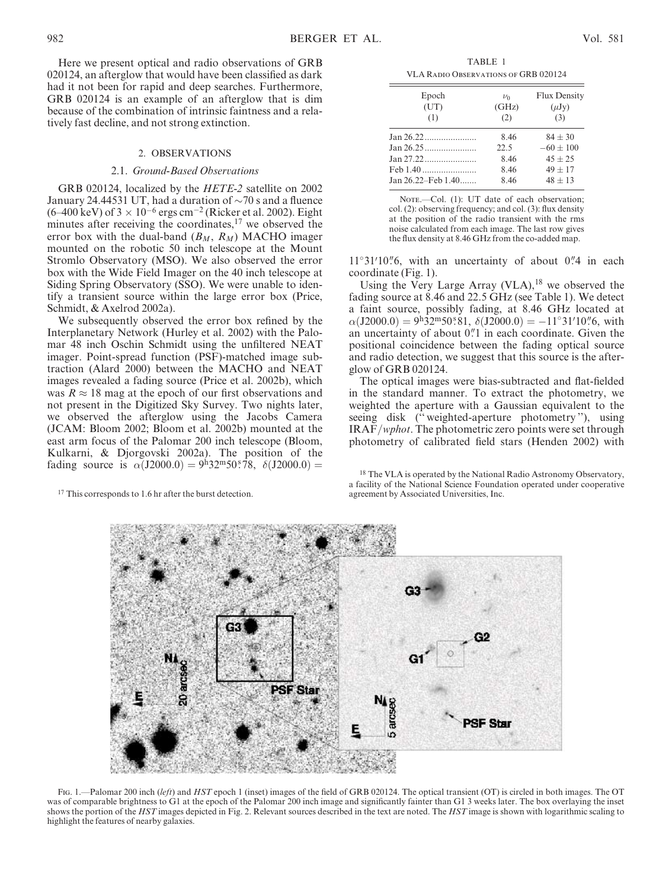Here we present optical and radio observations of GRB 020124, an afterglow that would have been classified as dark had it not been for rapid and deep searches. Furthermore, GRB 020124 is an example of an afterglow that is dim because of the combination of intrinsic faintness and a relatively fast decline, and not strong extinction.

### 2. OBSERVATIONS

#### 2.1. Ground-Based Observations

GRB 020124, localized by the HETE-2 satellite on 2002 January 24.44531 UT, had a duration of  $\sim$ 70 s and a fluence  $(6-400 \text{ keV})$  of  $3 \times 10^{-6}$  ergs cm<sup>-2</sup> (Ricker et al. 2002). Eight minutes after receiving the coordinates, $17$  we observed the error box with the dual-band  $(B_M, R_M)$  MACHO imager mounted on the robotic 50 inch telescope at the Mount Stromlo Observatory (MSO). We also observed the error box with the Wide Field Imager on the 40 inch telescope at Siding Spring Observatory (SSO). We were unable to identify a transient source within the large error box (Price, Schmidt, & Axelrod 2002a).

We subsequently observed the error box refined by the Interplanetary Network (Hurley et al. 2002) with the Palomar 48 inch Oschin Schmidt using the unfiltered NEAT imager. Point-spread function (PSF)-matched image subtraction (Alard 2000) between the MACHO and NEAT images revealed a fading source (Price et al. 2002b), which was  $R \approx 18$  mag at the epoch of our first observations and not present in the Digitized Sky Survey. Two nights later, we observed the afterglow using the Jacobs Camera (JCAM: Bloom 2002; Bloom et al. 2002b) mounted at the east arm focus of the Palomar 200 inch telescope (Bloom, Kulkarni, & Djorgovski 2002a). The position of the fading source is  $\alpha$ (J2000.0) = 9h32m50.578,  $\delta$ (J2000.0) =

<sup>17</sup> This corresponds to 1.6 hr after the burst detection.

TABLE 1 VLA Radio Observations of GRB 020124

| Epoch<br>(UT)<br>(1)    | $\nu_0$<br>(GHz)<br>(2) | Flux Density<br>$(\mu Jy)$<br>(3) |
|-------------------------|-------------------------|-----------------------------------|
| Jan 26.22               | 8.46                    | $84 + 30$                         |
|                         | 22.5                    | $-60 + 100$                       |
| Jan 27.22               | 8.46                    | $45 + 25$                         |
| Feb 1.40                | 8.46                    | $49 + 17$                         |
| Jan $26.22$ –Feb $1.40$ | 8.46                    | $48 \pm 13$                       |

NOTE.-Col. (1): UT date of each observation; col. (2): observing frequency; and col. (3): flux density at the position of the radio transient with the rms noise calculated from each image. The last row gives the flux density at 8.46 GHz from the co-added map.

11°31'10"6, with an uncertainty of about 0"4 in each coordinate (Fig. 1).

Using the Very Large Array (VLA), <sup>18</sup> we observed the fading source at 8.46 and 22.5 GHz (see Table 1). We detect a faint source, possibly fading, at 8.46 GHz located at  $\alpha$ (J2000.0) = 9h32m50.81,  $\delta$ (J2000.0) = -11°31'10".6, with an uncertainty of about  $0$ .<sup> $n$ </sup> in each coordinate. Given the positional coincidence between the fading optical source and radio detection, we suggest that this source is the afterglow of GRB 020124.

The optical images were bias-subtracted and flat-fielded in the standard manner. To extract the photometry, we weighted the aperture with a Gaussian equivalent to the seeing disk ('' weighted-aperture photometry ''), using IRAF/wphot. The photometric zero points were set through photometry of calibrated field stars (Henden 2002) with

<sup>18</sup> The VLA is operated by the National Radio Astronomy Observatory, a facility of the National Science Foundation operated under cooperative



Fig. 1.—Palomar 200 inch (left) and HST epoch 1 (inset) images of the field of GRB 020124. The optical transient (OT) is circled in both images. The OT was of comparable brightness to G1 at the epoch of the Palomar 200 inch image and significantly fainter than G1 3 weeks later. The box overlaying the inset shows the portion of the HST images depicted in Fig. 2. Relevant sources described in the text are noted. The HST image is shown with logarithmic scaling to highlight the features of nearby galaxies.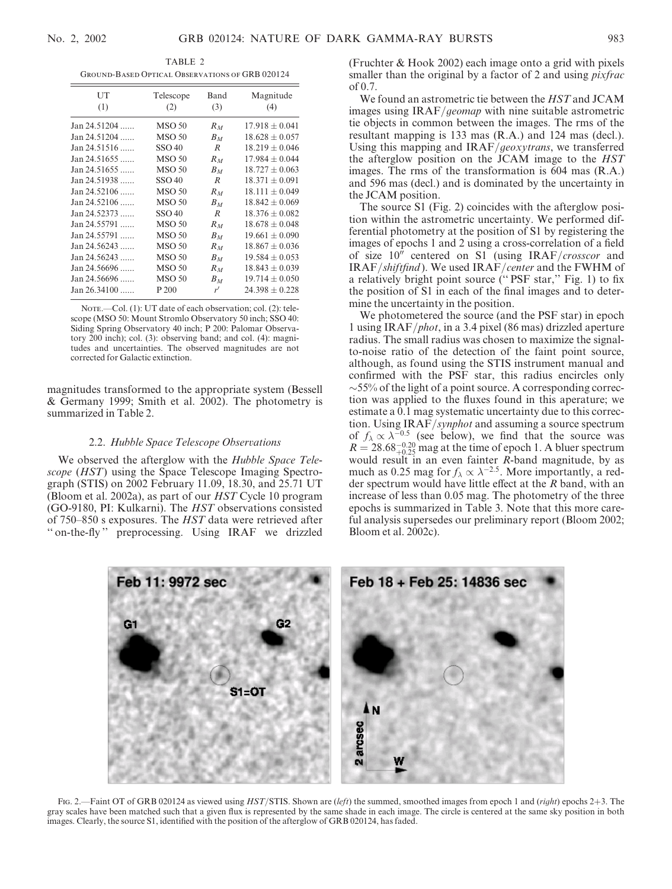TABLE 2 Ground-Based Optical Observations of GRB 020124

| UT<br>(1)            | Telescope<br>(2)  | Band<br>(3)    | Magnitude<br>(4)   |
|----------------------|-------------------|----------------|--------------------|
| Jan 24.51204         | <b>MSO 50</b>     | $R_M$          | $17.918 \pm 0.041$ |
| $Jan 24.51204$       | <b>MSO 50</b>     | $B_M$          | $18.628 \pm 0.057$ |
| Jan 24.51516         | SSO 40            | $\overline{R}$ | $18.219 \pm 0.046$ |
| Jan 24.51655         | <b>MSO 50</b>     | $R_M$          | $17.984 \pm 0.044$ |
| Jan 24.51655         | <b>MSO 50</b>     | $B_M$          | $18.727 + 0.063$   |
| Jan 24.51938         | SSO 40            | R              | $18.371 + 0.091$   |
| Jan 24.52106         | <b>MSO 50</b>     | $R_M$          | $18.111 + 0.049$   |
| $Jan 24.52106$       | <b>MSO 50</b>     | $B_M$          | $18.842 + 0.069$   |
| Jan 24.52373         | SSO <sub>40</sub> | $\overline{R}$ | $18.376 + 0.082$   |
| $Jan 24.55791$       | <b>MSO 50</b>     | $R_M$          | $18.678 + 0.048$   |
| $Jan 24.55791$       | <b>MSO 50</b>     | $B_M$          | $19.661 \pm 0.090$ |
| $Jan 24.56243$       | <b>MSO 50</b>     | $R_M$          | $18.867 \pm 0.036$ |
| Jan 24.56243         | <b>MSO 50</b>     | $B_M$          | $19.584 \pm 0.053$ |
| Jan 24.56696         | <b>MSO 50</b>     | $R_M$          | $18.843 \pm 0.039$ |
| Jan 24.56696         | <b>MSO 50</b>     | $B_M$          | $19.714 \pm 0.050$ |
| $Jan 26.34100 \dots$ | P 200             | r'             | $24.398 + 0.228$   |
|                      |                   |                |                    |

NOTE.—Col. (1): UT date of each observation; col. (2): telescope (MSO 50: Mount Stromlo Observatory 50 inch; SSO 40: Siding Spring Observatory 40 inch; P 200: Palomar Observatory 200 inch); col. (3): observing band; and col. (4): magnitudes and uncertainties. The observed magnitudes are not corrected for Galactic extinction.

magnitudes transformed to the appropriate system (Bessell & Germany 1999; Smith et al. 2002). The photometry is summarized in Table 2.

### 2.2. Hubble Space Telescope Observations

We observed the afterglow with the Hubble Space Telescope (HST) using the Space Telescope Imaging Spectrograph (STIS) on 2002 February 11.09, 18.30, and 25.71 UT (Bloom et al. 2002a), as part of our HST Cycle 10 program (GO-9180, PI: Kulkarni). The HST observations consisted of 750–850 s exposures. The HST data were retrieved after " on-the-fly" preprocessing. Using IRAF we drizzled (Fruchter & Hook 2002) each image onto a grid with pixels smaller than the original by a factor of 2 and using *pixfrac*  $of 0.7.$ 

We found an astrometric tie between the HST and JCAM images using IRAF/geomap with nine suitable astrometric tie objects in common between the images. The rms of the resultant mapping is 133 mas (R.A.) and 124 mas (decl.). Using this mapping and IRAF/geoxytrans, we transferred the afterglow position on the JCAM image to the HST images. The rms of the transformation is 604 mas (R.A.) and 596 mas (decl.) and is dominated by the uncertainty in the JCAM position.

The source S1 (Fig. 2) coincides with the afterglow position within the astrometric uncertainty. We performed differential photometry at the position of S1 by registering the images of epochs 1 and 2 using a cross-correlation of a field of size  $10^{\prime\prime}$  centered on S1 (using IRAF/crosscor and IRAF/shiftfind ). We used IRAF/center and the FWHM of a relatively bright point source ('' PSF star,'' Fig. 1) to fix the position of S1 in each of the final images and to determine the uncertainty in the position.

We photometered the source (and the PSF star) in epoch 1 using IRAF/phot, in a 3.4 pixel (86 mas) drizzled aperture radius. The small radius was chosen to maximize the signalto-noise ratio of the detection of the faint point source, although, as found using the STIS instrument manual and confirmed with the PSF star, this radius encircles only  $\sim$  55% of the light of a point source. A corresponding correction was applied to the fluxes found in this aperature; we estimate a 0.1 mag systematic uncertainty due to this correction. Using IRAF/synphot and assuming a source spectrum of  $f_{\lambda} \propto \lambda^{-0.5}$  (see below), we find that the source was  $R = 28.68_{+0.25}^{-0.20}$  mag at the time of epoch 1. A bluer spectrum would result in an even fainter R-band magnitude, by as much as 0.25 mag for  $f_{\lambda} \propto \lambda^{-2.5}$ . More importantly, a redder spectrum would have little effect at the  $R$  band, with an increase of less than 0.05 mag. The photometry of the three epochs is summarized in Table 3. Note that this more careful analysis supersedes our preliminary report (Bloom 2002; Bloom et al. 2002c).



Fig. 2.—Faint OT of GRB 020124 as viewed using HST/STIS. Shown are (left) the summed, smoothed images from epoch 1 and (right) epochs 2+3. The gray scales have been matched such that a given flux is represented by the same shade in each image. The circle is centered at the same sky position in both images. Clearly, the source S1, identified with the position of the afterglow of GRB 020124, has faded.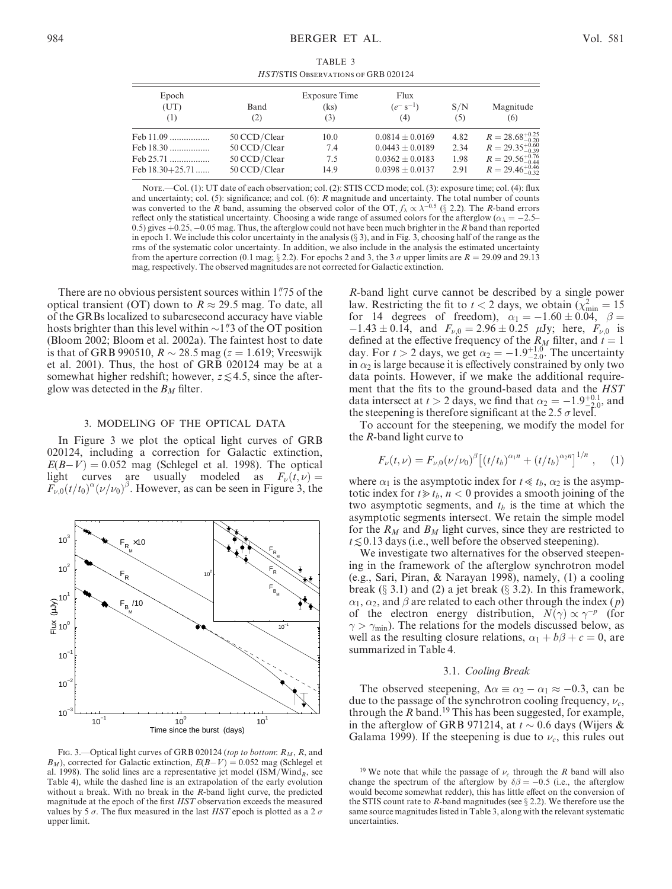TABLE 3 HST/STIS Observations of GRB 020124

| Epoch<br>(UT)<br>$\left(1\right)$ | Band<br>(2)  | Exposure Time<br>(ks)<br>(3) | Flux<br>$(e^{-} s^{-1})$<br>(4) | S/N<br>(5) | Magnitude<br>(6)            |
|-----------------------------------|--------------|------------------------------|---------------------------------|------------|-----------------------------|
| Feb 11.09                         | 50 CCD/Clear | 10.0                         | $0.0814 \pm 0.0169$             | 4.82       | $R = 28.68_{-0.20}^{+0.25}$ |
| Feb 18.30                         | 50 CCD/Clear | 7.4                          | $0.0443 \pm 0.0189$             | 2.34       | $R = 29.35_{-0.39}^{+0.60}$ |
| Feb 25.71                         | 50 CCD/Clear | 7.5                          | $0.0362 \pm 0.0183$             | 1.98       | $R = 29.56_{-0.44}^{+0.76}$ |
| Feb $18.30+25.71$                 | 50 CCD/Clear | 14.9                         | $0.0398 \pm 0.0137$             | 2.91       | $R = 29.46_{-0.32}^{+0.46}$ |

Note.—Col. (1): UT date of each observation; col. (2): STIS CCD mode; col. (3): exposure time; col. (4): flux and uncertainty; col. (5): significance; and col. (6): R magnitude and uncertainty. The total number of counts was converted to the R band, assuming the observed color of the OT,  $f_{\lambda} \propto \lambda^{-0.5}$  (§ 2.2). The R-band errors reflect only the statistical uncertainty. Choosing a wide range of assumed colors for the afterglow ( $\alpha_{\lambda} = -2.5$ -0.5) gives  $+0.25$ ,  $-0.05$  mag. Thus, the afterglow could not have been much brighter in the R band than reported in epoch 1. We include this color uncertainty in the analysis  $(\S 3)$ , and in Fig. 3, choosing half of the range as the rms of the systematic color uncertainty. In addition, we also include in the analysis the estimated uncertainty from the aperture correction (0.1 mag;  $\S 2.2$ ). For epochs 2 and 3, the 3  $\sigma$  upper limits are  $R = 29.09$  and 29.13 mag, respectively. The observed magnitudes are not corrected for Galactic extinction.

There are no obvious persistent sources within 1.75 of the optical transient (OT) down to  $R \approx 29.5$  mag. To date, all of the GRBs localized to subarcsecond accuracy have viable hosts brighter than this level within  $\sim$ 1" 3 of the OT position (Bloom 2002; Bloom et al. 2002a). The faintest host to date is that of GRB 990510,  $R \sim 28.5$  mag ( $z = 1.619$ ; Vreeswijk et al. 2001). Thus, the host of GRB 020124 may be at a somewhat higher redshift; however,  $z \le 4.5$ , since the afterglow was detected in the  $B_M$  filter.

# 3. MODELING OF THE OPTICAL DATA

In Figure 3 we plot the optical light curves of GRB 020124, including a correction for Galactic extinction,  $E(B-V) = 0.052$  mag (Schlegel et al. 1998). The optical light curves are usually modeled as  $F_{\nu}(t, \nu) =$  $F_{\nu,0}(t/t_0)^{\alpha}(\nu/\nu_0)^{\beta}$ . However, as can be seen in Figure 3, the



FIG. 3.—Optical light curves of GRB 020124 (top to bottom:  $R_M$ , R, and  $B_M$ ), corrected for Galactic extinction,  $E(B-V) = 0.052$  mag (Schlegel et al. 1998). The solid lines are a representative jet model  $(ISM/Wind<sub>R</sub>)$ , see Table 4), while the dashed line is an extrapolation of the early evolution without a break. With no break in the R-band light curve, the predicted magnitude at the epoch of the first HST observation exceeds the measured values by 5  $\sigma$ . The flux measured in the last HST epoch is plotted as a 2  $\sigma$ upper limit.

R-band light curve cannot be described by a single power law. Restricting the fit to  $t < 2$  days, we obtain  $(\chi^2_{\text{min}} = 15$ for 14 degrees of freedom),  $\alpha_1 = -1.60 \pm 0.04$ ,  $\beta =$  $-1.43 \pm 0.14$ , and  $F_{\nu,0} = 2.96 \pm 0.25$   $\mu$ Jy; here,  $F_{\nu,0}$  is defined at the effective frequency of the  $R_M$  filter, and  $t = 1$ day. For  $t > 2$  days, we get  $\alpha_2 = -1.9^{+1.0}_{-2.0}$ . The uncertainty in  $\alpha_2$  is large because it is effectively constrained by only two data points. However, if we make the additional requirement that the fits to the ground-based data and the HST data intersect at  $t > 2$  days, we find that  $\alpha_2 = -1.9^{+0.1}_{-2.0}$ , and the steepening is therefore significant at the 2.5  $\sigma$  level.

To account for the steepening, we modify the model for the R-band light curve to

$$
F_{\nu}(t,\nu) = F_{\nu,0}(\nu/\nu_0)^{\beta} \left[ \left( t/t_b \right)^{\alpha_1 n} + \left( t/t_b \right)^{\alpha_2 n} \right]^{1/n}, \quad (1)
$$

where  $\alpha_1$  is the asymptotic index for  $t \ll t_b$ ,  $\alpha_2$  is the asymptotic index for  $t \ge t_b$ ,  $n < 0$  provides a smooth joining of the two asymptotic segments, and  $t<sub>b</sub>$  is the time at which the asymptotic segments intersect. We retain the simple model for the  $R_M$  and  $B_M$  light curves, since they are restricted to  $t \lesssim 0.13$  days (i.e., well before the observed steepening).

We investigate two alternatives for the observed steepening in the framework of the afterglow synchrotron model (e.g., Sari, Piran, & Narayan 1998), namely, (1) a cooling break ( $\S$  3.1) and (2) a jet break ( $\S$  3.2). In this framework,  $\alpha_1, \alpha_2$ , and  $\beta$  are related to each other through the index (*p*) of the electron energy distribution,  $N(\gamma) \propto \gamma^{-p}$  (for  $\gamma > \gamma_{\text{min}}$ ). The relations for the models discussed below, as well as the resulting closure relations,  $\alpha_1 + b\beta + c = 0$ , are summarized in Table 4.

#### 3.1. Cooling Break

The observed steepening,  $\Delta \alpha \equiv \alpha_2 - \alpha_1 \approx -0.3$ , can be due to the passage of the synchrotron cooling frequency,  $\nu_c$ , through the  $R$  band.<sup>19</sup> This has been suggested, for example, in the afterglow of GRB 971214, at  $t \sim 0.6$  days (Wijers & Galama 1999). If the steepening is due to  $\nu_c$ , this rules out

<sup>&</sup>lt;sup>19</sup> We note that while the passage of  $\nu_c$  through the R band will also change the spectrum of the afterglow by  $\delta\beta = -0.5$  (i.e., the afterglow would become somewhat redder), this has little effect on the conversion of the STIS count rate to R-band magnitudes (see  $\S 2.2$ ). We therefore use the same source magnitudes listed in Table 3, along with the relevant systematic uncertainties.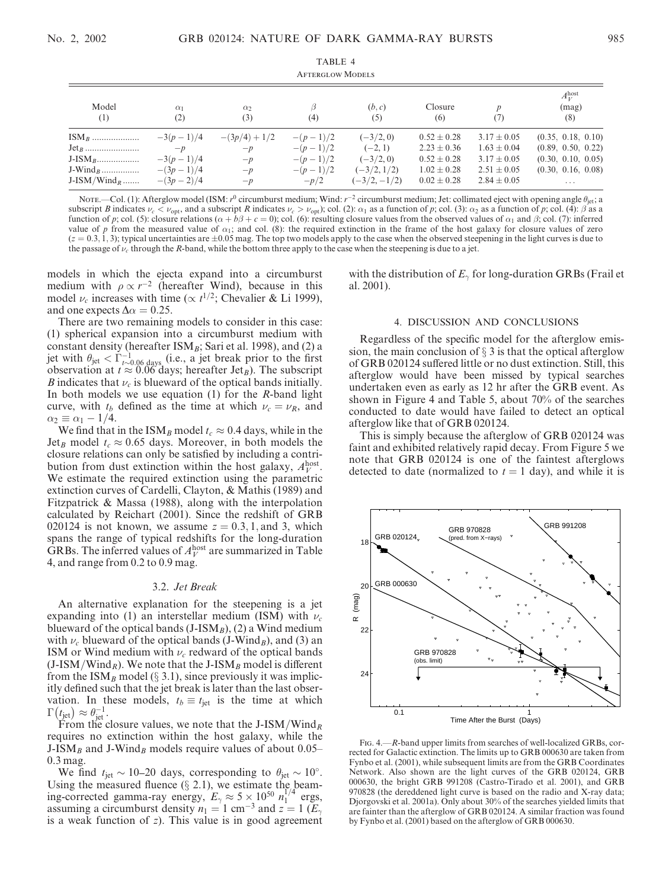| <b>AFTERGLOW MODELS</b> |                   |                 |            |               |                 |                 |                                     |
|-------------------------|-------------------|-----------------|------------|---------------|-----------------|-----------------|-------------------------------------|
| Model<br>(1)            | $\alpha_1$<br>(2) | $\alpha$<br>(3) | ß<br>(4)   | (b, c)<br>(5) | Closure<br>(6)  | D<br>(7)        | $A_V^{\text{host}}$<br>(mag)<br>(8) |
| $ISM_B$                 | $-3(p-1)/4$       | $-(3p/4)+1/2$   | $-(p-1)/2$ | $(-3/2, 0)$   | $0.52 \pm 0.28$ | $3.17 \pm 0.05$ | (0.35, 0.18, 0.10)                  |
|                         | $-p$              | $-p$            | $-(p-1)/2$ | $(-2, 1)$     | $2.23 \pm 0.36$ | $1.63 \pm 0.04$ | (0.89, 0.50, 0.22)                  |
|                         | $-3(p-1)/4$       | $-p$            | $-(p-1)/2$ | $(-3/2, 0)$   | $0.52 \pm 0.28$ | $3.17 \pm 0.05$ | (0.30, 0.10, 0.05)                  |
| $J-Wind_B$              | $-(3p-1)/4$       | $-p$            | $-(p-1)/2$ | $(-3/2, 1/2)$ | $1.02 \pm 0.28$ | $2.51 \pm 0.05$ | (0.30, 0.16, 0.08)                  |
| $J-ISM/Wind_R$          | $-(3p-2)/4$       | $-p$            | $-p/2$     | $(-3/2,-1/2)$ | $0.02 \pm 0.28$ | $2.84 \pm 0.05$ | $\cdots$                            |

TABLE 4

NOTE.—Col. (1): Afterglow model (ISM:  $r^0$  circumburst medium; Wind:  $r^{-2}$  circumburst medium; Jet: collimated eject with opening angle  $\theta_{jet}$ ; a subscript B indicates  $\nu_c < \nu_{\text{opt}}$ , and a subscript R indicates  $\nu_c > \nu_{\text{opt}}$ ; col. (2):  $\alpha_1$  as a function of p; col. (3):  $\alpha_2$  as a function of p; col. (4):  $\beta$  as a function of p; col. (5): closure relations ( $\alpha + b\beta + c = 0$ ); col. (6): resulting closure values from the observed values of  $\alpha_1$  and  $\beta$ ; col. (7): inferred value of p from the measured value of  $\alpha_1$ ; and col. (8): the required extinction in the frame of the host galaxy for closure values of zero  $(z = 0.3, 1, 3)$ ; typical uncertainties are  $\pm 0.05$  mag. The top two models apply to the case when the observed steepening in the light curves is due to the passage of  $\nu_c$  through the R-band, while the bottom three apply to the case when the steepening is due to a jet.

models in which the ejecta expand into a circumburst medium with  $\rho \propto r^{-2}$  (hereafter Wind), because in this model  $\nu_c$  increases with time ( $\propto t^{1/2}$ ; Chevalier & Li 1999), and one expects  $\Delta \alpha = 0.25$ .

There are two remaining models to consider in this case: (1) spherical expansion into a circumburst medium with constant density (hereafter  $\text{ISM}_B$ ; Sari et al. 1998), and (2) a jet with  $\theta_{jet} < \Gamma_{t \sim 0.06 \text{ days}}^{-1}$  (i.e., a jet break prior to the first observation at  $t \approx 0.06$  days; hereafter Jet<sub>B</sub>). The subscript B indicates that  $\nu_c$  is blueward of the optical bands initially. In both models we use equation  $(1)$  for the *R*-band light curve, with  $t_b$  defined as the time at which  $\nu_c = \nu_R$ , and  $\alpha_2 \equiv \alpha_1 - 1/4.$ 

We find that in the ISM<sub>B</sub> model  $t_c \approx 0.4$  days, while in the Jet<sub>B</sub> model  $t_c \approx 0.65$  days. Moreover, in both models the closure relations can only be satisfied by including a contribution from dust extinction within the host galaxy,  $A_V^{\text{host}}$ . We estimate the required extinction using the parametric extinction curves of Cardelli, Clayton, & Mathis (1989) and Fitzpatrick & Massa (1988), along with the interpolation calculated by Reichart (2001). Since the redshift of GRB 020124 is not known, we assume  $z = 0.3, 1$ , and 3, which spans the range of typical redshifts for the long-duration GRBs. The inferred values of  $A_V^{\text{host}}$  are summarized in Table 4, and range from 0.2 to 0.9 mag.

# 3.2. Jet Break

An alternative explanation for the steepening is a jet expanding into (1) an interstellar medium (ISM) with  $\nu_c$ blueward of the optical bands (J-ISM $_B$ ), (2) a Wind medium with  $\nu_c$  blueward of the optical bands (J-Wind<sub>B</sub>), and (3) an ISM or Wind medium with  $\nu_c$  redward of the optical bands  $(J-ISM/Wind_R)$ . We note that the J-ISM<sub>B</sub> model is different from the ISM<sub>B</sub> model ( $\S$  3.1), since previously it was implicitly defined such that the jet break is later than the last observation. In these models,  $t_b \equiv t_{\text{jet}}$  is the time at which vation. In the  $\Gamma(\underline{t_{\text{jet}}}) \approx \theta_{\text{jet}}^{-1}$ .

From the closure values, we note that the J-ISM/Wind<sub>R</sub> requires no extinction within the host galaxy, while the J-ISM<sub>B</sub> and J-Wind<sub>B</sub> models require values of about 0.05– 0.3 mag.

We find  $t_{jet} \sim 10{\text -}20$  days, corresponding to  $\theta_{jet} \sim 10^{\circ}$ . Using the measured fluence  $(\S 2.1)$ , we estimate the beaming-corrected gamma-ray energy,  $E_{\gamma} \approx 5 \times 10^{50} n_1^{1/4}$  ergs, assuming a circumburst density  $n_1 = 1$  cm<sup>-3</sup> and  $z = 1$  ( $E_2$ ) is a weak function of  $z$ ). This value is in good agreement with the distribution of  $E_{\gamma}$  for long-duration GRBs (Frail et al. 2001).

### 4. DISCUSSION AND CONCLUSIONS

Regardless of the specific model for the afterglow emission, the main conclusion of  $\S$  3 is that the optical afterglow of GRB 020124 suffered little or no dust extinction. Still, this afterglow would have been missed by typical searches undertaken even as early as 12 hr after the GRB event. As shown in Figure 4 and Table 5, about 70% of the searches conducted to date would have failed to detect an optical afterglow like that of GRB 020124.

This is simply because the afterglow of GRB 020124 was faint and exhibited relatively rapid decay. From Figure 5 we note that GRB 020124 is one of the faintest afterglows detected to date (normalized to  $t = 1$  day), and while it is



Fig. 4.—R-band upper limits from searches of well-localized GRBs, corrected for Galactic extinction. The limits up to GRB 000630 are taken from Fynbo et al. (2001), while subsequent limits are from the GRB Coordinates Network. Also shown are the light curves of the GRB 020124, GRB 000630, the bright GRB 991208 (Castro-Tirado et al. 2001), and GRB 970828 (the dereddened light curve is based on the radio and X-ray data; Djorgovski et al. 2001a). Only about 30% of the searches yielded limits that are fainter than the afterglow of GRB 020124. A similar fraction was found by Fynbo et al. (2001) based on the afterglow of GRB 000630.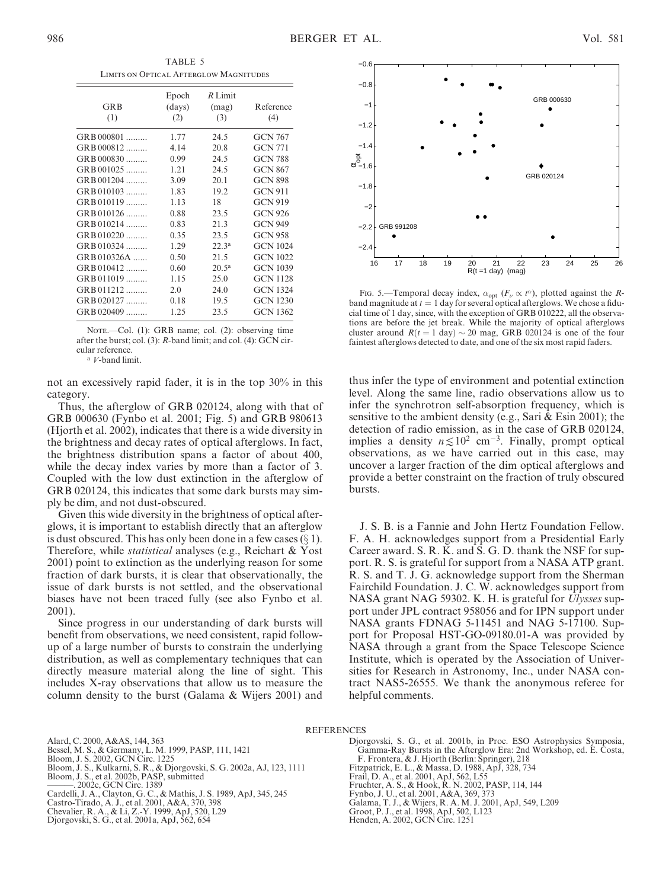TABLE 5 Limits on Optical Afterglow Magnitudes

| <b>GRB</b><br>(1) | Epoch<br>(days)<br>(2) | $R$ Limit<br>(mag)<br>(3) | Reference<br>(4) |
|-------------------|------------------------|---------------------------|------------------|
| GRB 000801        | 1.77                   | 24.5                      | <b>GCN 767</b>   |
| GRB 000812        | 4.14                   | 20.8                      | <b>GCN 771</b>   |
| GRB 000830        | 0.99                   | 24.5                      | <b>GCN 788</b>   |
| GRB 001025        | 1.21                   | 24.5                      | <b>GCN 867</b>   |
| GRB 001204        | 3.09                   | 20.1                      | <b>GCN 898</b>   |
| $GRB010103$       | 1.83                   | 19.2                      | <b>GCN 911</b>   |
| $GRB 010119$      | 1.13                   | 18                        | GCN 919          |
| $GRB 010126$      | 0.88                   | 23.5                      | <b>GCN 926</b>   |
| $GRB 010214$      | 0.83                   | 21.3                      | <b>GCN 949</b>   |
| $GRB 010220$      | 0.35                   | 23.5                      | <b>GCN 958</b>   |
| GRB 010324        | 1.29                   | $22.3^{\rm a}$            | <b>GCN 1024</b>  |
| GRB 010326A       | 0.50                   | 21.5                      | <b>GCN 1022</b>  |
| GRB 010412        | 0.60                   | $20.5^{\rm a}$            | <b>GCN 1039</b>  |
| GRB 011019        | 1.15                   | 25.0                      | <b>GCN 1128</b>  |
| $GRB 011212$      | 2.0                    | 24.0                      | <b>GCN 1324</b>  |
| $GRB 020127$      | 0.18                   | 19.5                      | <b>GCN 1230</b>  |
| GRB 020409        | 1.25                   | 23.5                      | <b>GCN 1362</b>  |

NOTE.-Col. (1): GRB name; col. (2): observing time after the burst; col. (3): R-band limit; and col. (4): GCN circular reference.

<sup>a</sup> V-band limit.

not an excessively rapid fader, it is in the top 30% in this category.

Thus, the afterglow of GRB 020124, along with that of GRB 000630 (Fynbo et al. 2001; Fig. 5) and GRB 980613 (Hjorth et al. 2002), indicates that there is a wide diversity in the brightness and decay rates of optical afterglows. In fact, the brightness distribution spans a factor of about 400, while the decay index varies by more than a factor of 3. Coupled with the low dust extinction in the afterglow of GRB 020124, this indicates that some dark bursts may simply be dim, and not dust-obscured.

Given this wide diversity in the brightness of optical afterglows, it is important to establish directly that an afterglow is dust obscured. This has only been done in a few cases  $(\S 1)$ . Therefore, while *statistical* analyses (e.g., Reichart & Yost 2001) point to extinction as the underlying reason for some fraction of dark bursts, it is clear that observationally, the issue of dark bursts is not settled, and the observational biases have not been traced fully (see also Fynbo et al. 2001).

Since progress in our understanding of dark bursts will benefit from observations, we need consistent, rapid followup of a large number of bursts to constrain the underlying distribution, as well as complementary techniques that can directly measure material along the line of sight. This includes X-ray observations that allow us to measure the column density to the burst (Galama & Wijers 2001) and



FIG. 5.—Temporal decay index,  $\alpha_{opt}$  ( $F_{\nu} \propto t^{\alpha}$ ), plotted against the *R*band magnitude at  $t = 1$  day for several optical afterglows. We chose a fiducial time of 1 day, since, with the exception of GRB 010222, all the observations are before the jet break. While the majority of optical afterglows cluster around  $R(t = 1$  day)  $\sim 20$  mag, GRB 020124 is one of the four faintest afterglows detected to date, and one of the six most rapid faders.

thus infer the type of environment and potential extinction level. Along the same line, radio observations allow us to infer the synchrotron self-absorption frequency, which is sensitive to the ambient density (e.g., Sari & Esin 2001); the detection of radio emission, as in the case of GRB 020124, implies a density  $n \leq 10^2$  cm<sup>-3</sup>. Finally, prompt optical observations, as we have carried out in this case, may uncover a larger fraction of the dim optical afterglows and provide a better constraint on the fraction of truly obscured bursts.

J. S. B. is a Fannie and John Hertz Foundation Fellow. F. A. H. acknowledges support from a Presidential Early Career award. S. R. K. and S. G. D. thank the NSF for support. R. S. is grateful for support from a NASA ATP grant. R. S. and T. J. G. acknowledge support from the Sherman Fairchild Foundation. J. C. W. acknowledges support from NASA grant NAG 59302. K. H. is grateful for Ulysses support under JPL contract 958056 and for IPN support under NASA grants FDNAG 5-11451 and NAG 5-17100. Support for Proposal HST-GO-09180.01-A was provided by NASA through a grant from the Space Telescope Science Institute, which is operated by the Association of Universities for Research in Astronomy, Inc., under NASA contract NAS5-26555. We thank the anonymous referee for helpful comments.

### **REFERENCES**

- Alard, C. 2000, A&AS, 144, 363
- Bessel, M. S., & Germany, L. M. 1999, PASP, 111, 1421
- Bloom, J. S. 2002, GCN Circ. 1225
- Bloom, J. S., Kulkarni, S. R., & Djorgovski, S. G. 2002a, AJ, 123, 1111
- Bloom, J. S., et al. 2002b, PASP, submitted
- ———. 2002c, GCN Circ. 1389
- Cardelli, J. A., Clayton, G. C., & Mathis, J. S. 1989, ApJ, 345, 245
- Castro-Tirado, A. J., et al. 2001, A&A, 370, 398 Chevalier, R. A., & Li, Z.-Y. 1999, ApJ, 520, L29
- 
- Djorgovski, S. G., et al. 2001a, ApJ, 562, 654
- Djorgovski, S. G., et al. 2001b, in Proc. ESO Astrophysics Symposia, Gamma-Ray Bursts in the Afterglow Era: 2nd Workshop, ed. E. Costa, F. Frontera, & J. Hjorth (Berlin: Springer), 218 Fitzpatrick, E. L., & Massa, D. 1988, ApJ, 328, 734
- 
- Frail, D. A., et al. 2001, ApJ, 562, L55 Fruchter, A. S., & Hook, R. N. 2002, PASP, 114, 144
- Fynbo, J. U., et al. 2001, A&A, 369, 373
- 
- Galama, T. J., & Wijers, R. A. M. J. 2001, ApJ, 549, L209 Groot, P. J., et al. 1998, ApJ, 502, L123
- Henden, A. 2002, GCN Circ. 1251